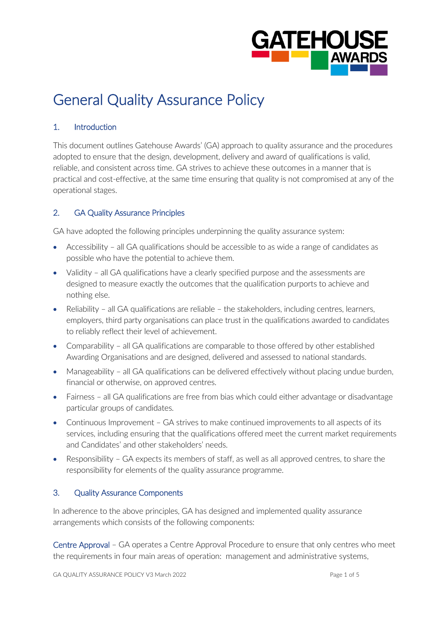

# General Quality Assurance Policy

## 1. Introduction

This document outlines Gatehouse Awards' (GA) approach to quality assurance and the procedures adopted to ensure that the design, development, delivery and award of qualifications is valid, reliable, and consistent across time. GA strives to achieve these outcomes in a manner that is practical and cost-effective, at the same time ensuring that quality is not compromised at any of the operational stages.

# 2. GA Quality Assurance Principles

GA have adopted the following principles underpinning the quality assurance system:

- Accessibility all GA qualifications should be accessible to as wide a range of candidates as possible who have the potential to achieve them.
- Validity all GA qualifications have a clearly specified purpose and the assessments are designed to measure exactly the outcomes that the qualification purports to achieve and nothing else.
- Reliability all GA qualifications are reliable the stakeholders, including centres, learners, employers, third party organisations can place trust in the qualifications awarded to candidates to reliably reflect their level of achievement.
- Comparability all GA qualifications are comparable to those offered by other established Awarding Organisations and are designed, delivered and assessed to national standards.
- Manageability all GA qualifications can be delivered effectively without placing undue burden, financial or otherwise, on approved centres.
- Fairness all GA qualifications are free from bias which could either advantage or disadvantage particular groups of candidates.
- Continuous Improvement GA strives to make continued improvements to all aspects of its services, including ensuring that the qualifications offered meet the current market requirements and Candidates' and other stakeholders' needs.
- Responsibility GA expects its members of staff, as well as all approved centres, to share the responsibility for elements of the quality assurance programme.

## 3. Quality Assurance Components

In adherence to the above principles, GA has designed and implemented quality assurance arrangements which consists of the following components:

Centre Approval – GA operates a Centre Approval Procedure to ensure that only centres who meet the requirements in four main areas of operation: management and administrative systems,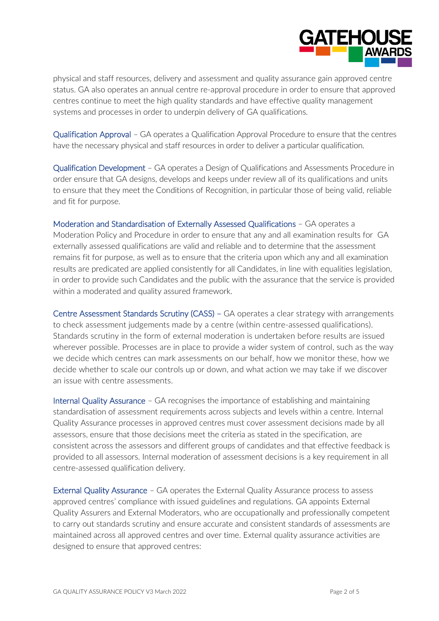

physical and staff resources, delivery and assessment and quality assurance gain approved centre status. GA also operates an annual centre re-approval procedure in order to ensure that approved centres continue to meet the high quality standards and have effective quality management systems and processes in order to underpin delivery of GA qualifications.

Qualification Approval – GA operates a Qualification Approval Procedure to ensure that the centres have the necessary physical and staff resources in order to deliver a particular qualification.

Qualification Development – GA operates a Design of Qualifications and Assessments Procedure in order ensure that GA designs, develops and keeps under review all of its qualifications and units to ensure that they meet the Conditions of Recognition, in particular those of being valid, reliable and fit for purpose.

Moderation and Standardisation of Externally Assessed Qualifications – GA operates a Moderation Policy and Procedure in order to ensure that any and all examination results for GA externally assessed qualifications are valid and reliable and to determine that the assessment remains fit for purpose, as well as to ensure that the criteria upon which any and all examination results are predicated are applied consistently for all Candidates, in line with equalities legislation, in order to provide such Candidates and the public with the assurance that the service is provided within a moderated and quality assured framework.

Centre Assessment Standards Scrutiny (CASS) – GA operates a clear strategy with arrangements to check assessment judgements made by a centre (within centre-assessed qualifications). Standards scrutiny in the form of external moderation is undertaken before results are issued wherever possible. Processes are in place to provide a wider system of control, such as the way we decide which centres can mark assessments on our behalf, how we monitor these, how we decide whether to scale our controls up or down, and what action we may take if we discover an issue with centre assessments.

Internal Quality Assurance – GA recognises the importance of establishing and maintaining standardisation of assessment requirements across subjects and levels within a centre. Internal Quality Assurance processes in approved centres must cover assessment decisions made by all assessors, ensure that those decisions meet the criteria as stated in the specification, are consistent across the assessors and different groups of candidates and that effective feedback is provided to all assessors. Internal moderation of assessment decisions is a key requirement in all centre-assessed qualification delivery.

External Quality Assurance – GA operates the External Quality Assurance process to assess approved centres' compliance with issued guidelines and regulations. GA appoints External Quality Assurers and External Moderators, who are occupationally and professionally competent to carry out standards scrutiny and ensure accurate and consistent standards of assessments are maintained across all approved centres and over time. External quality assurance activities are designed to ensure that approved centres: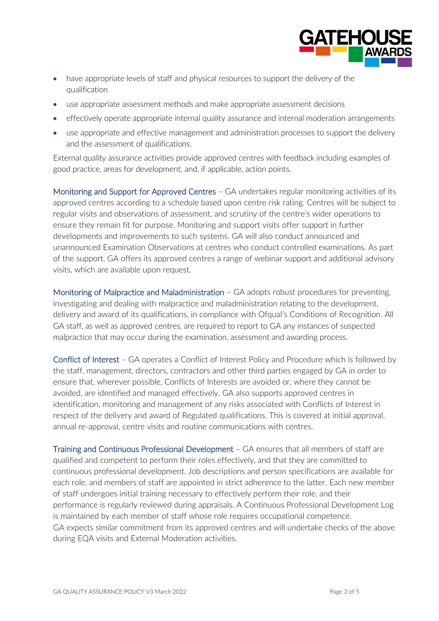

- have appropriate levels of staff and physical resources to support the delivery of the qualification
- use appropriate assessment methods and make appropriate assessment decisions
- effectively operate appropriate internal quality assurance and internal moderation arrangements
- use appropriate and effective management and administration processes to support the delivery and the assessment of qualifications.

External quality assurance activities provide approved centres with feedback including examples of good practice, areas for development, and, if applicable, action points.

Monitoring and Support for Approved Centres – GA undertakes regular monitoring activities of its approved centres according to a schedule based upon centre risk rating. Centres will be subject to regular visits and observations of assessment, and scrutiny of the centre's wider operations to ensure they remain fit for purpose. Monitoring and support visits offer support in further developments and improvements to such systems. GA will also conduct announced and unannounced Examination Observations at centres who conduct controlled examinations. As part of the support, GA offers its approved centres a range of webinar support and additional advisory visits, which are available upon request.

Monitoring of Malpractice and Maladministration – GA adopts robust procedures for preventing, investigating and dealing with malpractice and maladministration relating to the development, delivery and award of its qualifications, in compliance with Ofqual's Conditions of Recognition. All GA staff, as well as approved centres, are required to report to GA any instances of suspected malpractice that may occur during the examination, assessment and awarding process.

Conflict of Interest – GA operates a Conflict of Interest Policy and Procedure which is followed by the staff, management, directors, contractors and other third parties engaged by GA in order to ensure that, wherever possible, Conflicts of Interests are avoided or, where they cannot be avoided, are identified and managed effectively. GA also supports approved centres in identification, monitoring and management of any risks associated with Conflicts of Interest in respect of the delivery and award of Regulated qualifications. This is covered at initial approval, annual re-approval, centre visits and routine communications with centres.

Training and Continuous Professional Development – GA ensures that all members of staff are qualified and competent to perform their roles effectively, and that they are committed to continuous professional development. Job descriptions and person specifications are available for each role, and members of staff are appointed in strict adherence to the latter. Each new member of staff undergoes initial training necessary to effectively perform their role, and their performance is regularly reviewed during appraisals. A Continuous Professional Development Log is maintained by each member of staff whose role requires occupational competence. GA expects similar commitment from its approved centres and will undertake checks of the above during EQA visits and External Moderation activities.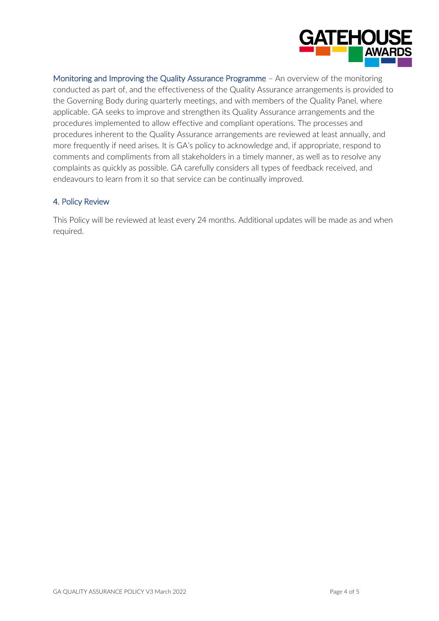

Monitoring and Improving the Quality Assurance Programme – An overview of the monitoring conducted as part of, and the effectiveness of the Quality Assurance arrangements is provided to the Governing Body during quarterly meetings, and with members of the Quality Panel, where applicable. GA seeks to improve and strengthen its Quality Assurance arrangements and the procedures implemented to allow effective and compliant operations. The processes and procedures inherent to the Quality Assurance arrangements are reviewed at least annually, and more frequently if need arises. It is GA's policy to acknowledge and, if appropriate, respond to comments and compliments from all stakeholders in a timely manner, as well as to resolve any complaints as quickly as possible. GA carefully considers all types of feedback received, and endeavours to learn from it so that service can be continually improved.

#### 4. Policy Review

This Policy will be reviewed at least every 24 months. Additional updates will be made as and when required.